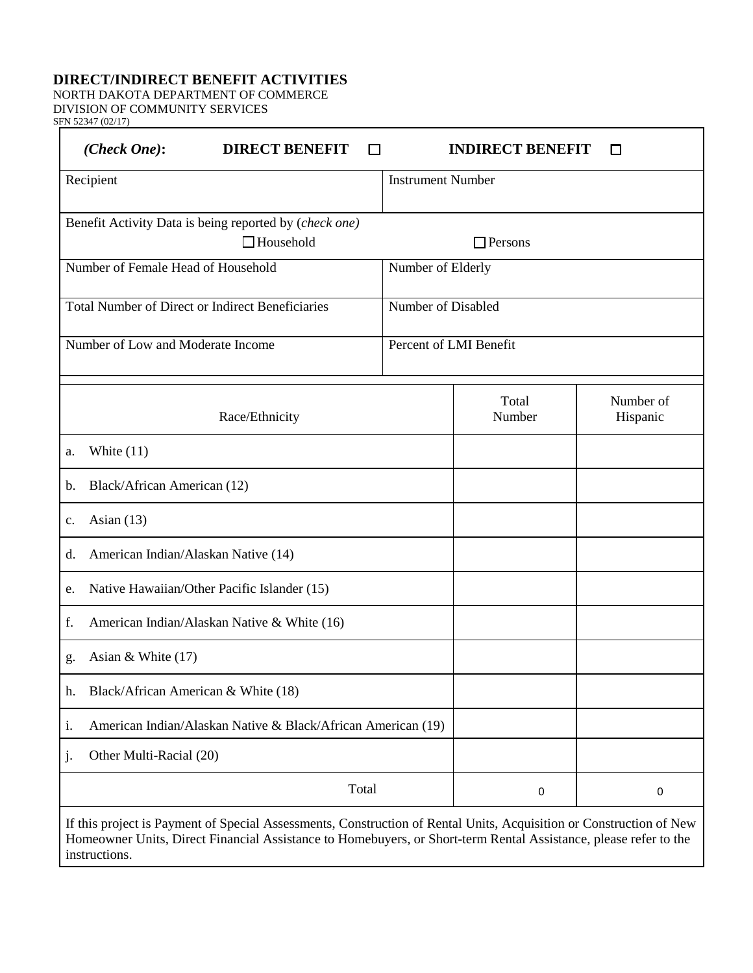## **DIRECT/INDIRECT BENEFIT ACTIVITIES**

NORTH DAKOTA DEPARTMENT OF COMMERCE DIVISION OF COMMUNITY SERVICES

SFN 52347 (02/17)

| (Check One):                                                       | <b>DIRECT BENEFIT</b>                                                                                                                                                                                                                   |                          | <b>INDIRECT BENEFIT</b> |                       |
|--------------------------------------------------------------------|-----------------------------------------------------------------------------------------------------------------------------------------------------------------------------------------------------------------------------------------|--------------------------|-------------------------|-----------------------|
| Recipient                                                          |                                                                                                                                                                                                                                         | <b>Instrument Number</b> |                         |                       |
|                                                                    | Benefit Activity Data is being reported by (check one)<br>$\Box$ Household                                                                                                                                                              |                          | $\Box$ Persons          |                       |
| Number of Female Head of Household                                 |                                                                                                                                                                                                                                         | Number of Elderly        |                         |                       |
|                                                                    | <b>Total Number of Direct or Indirect Beneficiaries</b>                                                                                                                                                                                 | Number of Disabled       |                         |                       |
| Number of Low and Moderate Income                                  |                                                                                                                                                                                                                                         | Percent of LMI Benefit   |                         |                       |
|                                                                    | Race/Ethnicity                                                                                                                                                                                                                          |                          | Total<br>Number         | Number of<br>Hispanic |
| White $(11)$<br>a.                                                 |                                                                                                                                                                                                                                         |                          |                         |                       |
| Black/African American (12)<br>b.                                  |                                                                                                                                                                                                                                         |                          |                         |                       |
| Asian $(13)$<br>c.                                                 |                                                                                                                                                                                                                                         |                          |                         |                       |
| American Indian/Alaskan Native (14)<br>d.                          |                                                                                                                                                                                                                                         |                          |                         |                       |
| Native Hawaiian/Other Pacific Islander (15)<br>e.                  |                                                                                                                                                                                                                                         |                          |                         |                       |
| f.<br>American Indian/Alaskan Native & White (16)                  |                                                                                                                                                                                                                                         |                          |                         |                       |
| Asian & White $(17)$<br>g.                                         |                                                                                                                                                                                                                                         |                          |                         |                       |
| Black/African American & White (18)<br>h.                          |                                                                                                                                                                                                                                         |                          |                         |                       |
| American Indian/Alaskan Native & Black/African American (19)<br>i. |                                                                                                                                                                                                                                         |                          |                         |                       |
| Other Multi-Racial (20)<br>1.                                      |                                                                                                                                                                                                                                         |                          |                         |                       |
| Total                                                              |                                                                                                                                                                                                                                         |                          | 0                       | $\pmb{0}$             |
| instructions.                                                      | If this project is Payment of Special Assessments, Construction of Rental Units, Acquisition or Construction of New<br>Homeowner Units, Direct Financial Assistance to Homebuyers, or Short-term Rental Assistance, please refer to the |                          |                         |                       |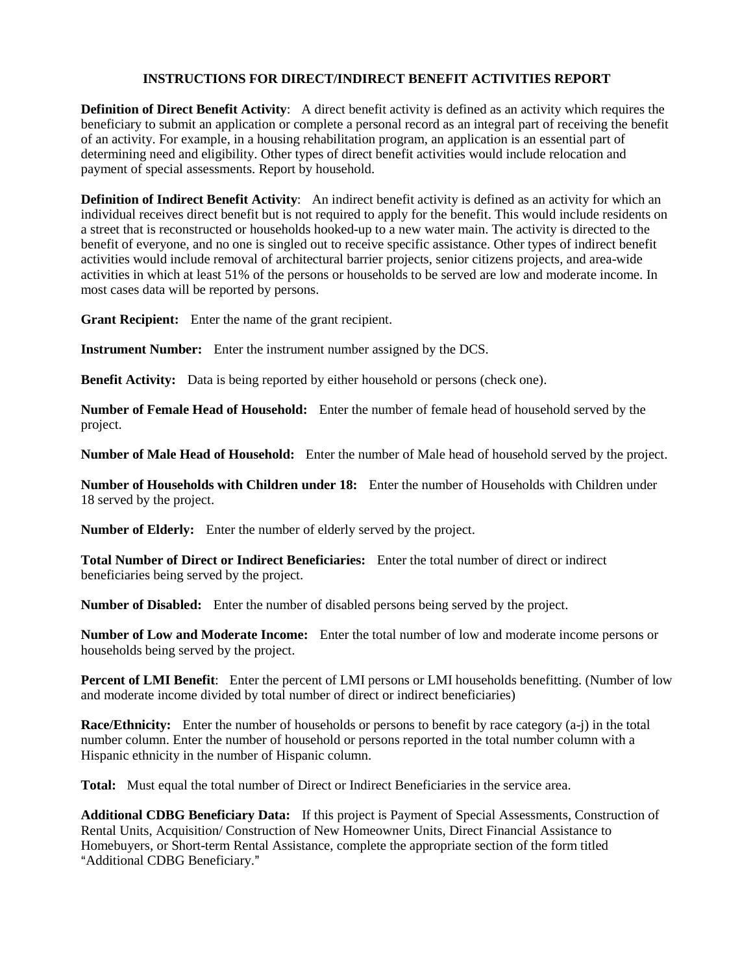## **INSTRUCTIONS FOR DIRECT/INDIRECT BENEFIT ACTIVITIES REPORT**

**Definition of Direct Benefit Activity**: A direct benefit activity is defined as an activity which requires the beneficiary to submit an application or complete a personal record as an integral part of receiving the benefit of an activity. For example, in a housing rehabilitation program, an application is an essential part of determining need and eligibility. Other types of direct benefit activities would include relocation and payment of special assessments. Report by household.

**Definition of Indirect Benefit Activity**: An indirect benefit activity is defined as an activity for which an individual receives direct benefit but is not required to apply for the benefit. This would include residents on a street that is reconstructed or households hooked-up to a new water main. The activity is directed to the benefit of everyone, and no one is singled out to receive specific assistance. Other types of indirect benefit activities would include removal of architectural barrier projects, senior citizens projects, and area-wide activities in which at least 51% of the persons or households to be served are low and moderate income. In most cases data will be reported by persons.

**Grant Recipient:** Enter the name of the grant recipient.

**Instrument Number:** Enter the instrument number assigned by the DCS.

**Benefit Activity:** Data is being reported by either household or persons (check one).

**Number of Female Head of Household:** Enter the number of female head of household served by the project.

**Number of Male Head of Household:** Enter the number of Male head of household served by the project.

**Number of Households with Children under 18:** Enter the number of Households with Children under 18 served by the project.

**Number of Elderly:** Enter the number of elderly served by the project.

**Total Number of Direct or Indirect Beneficiaries:** Enter the total number of direct or indirect beneficiaries being served by the project.

**Number of Disabled:** Enter the number of disabled persons being served by the project.

**Number of Low and Moderate Income:** Enter the total number of low and moderate income persons or households being served by the project.

**Percent of LMI Benefit**: Enter the percent of LMI persons or LMI households benefitting. (Number of low and moderate income divided by total number of direct or indirect beneficiaries)

**Race/Ethnicity:** Enter the number of households or persons to benefit by race category (a-j) in the total number column. Enter the number of household or persons reported in the total number column with a Hispanic ethnicity in the number of Hispanic column.

**Total:** Must equal the total number of Direct or Indirect Beneficiaries in the service area.

**Additional CDBG Beneficiary Data:** If this project is Payment of Special Assessments, Construction of Rental Units, Acquisition/ Construction of New Homeowner Units, Direct Financial Assistance to Homebuyers, or Short-term Rental Assistance, complete the appropriate section of the form titled "Additional CDBG Beneficiary."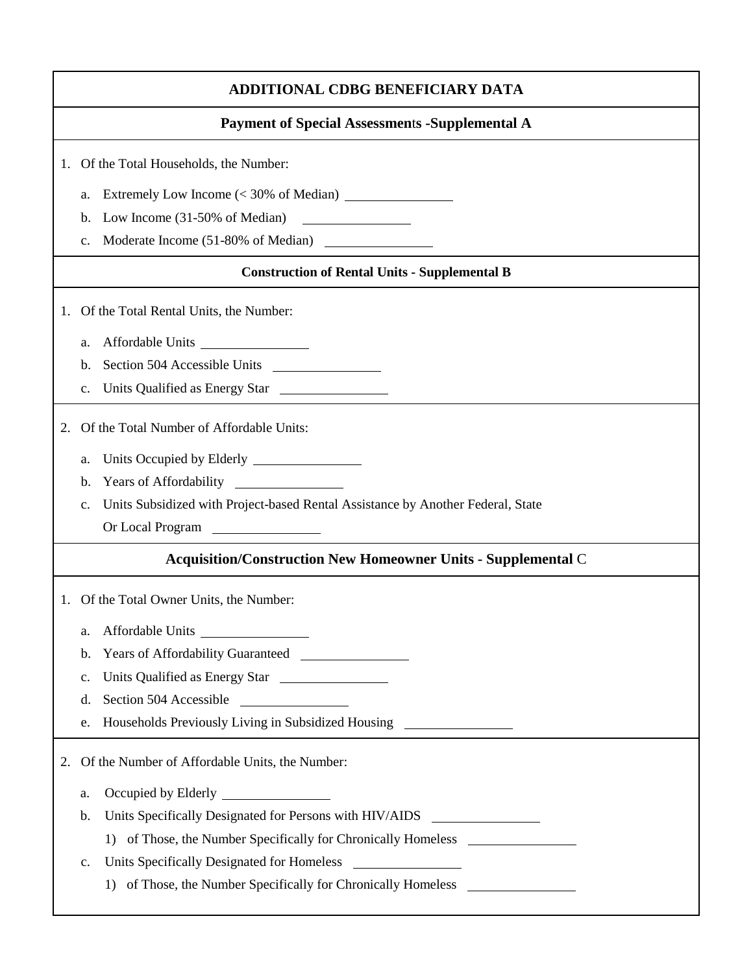|                                          | <b>ADDITIONAL CDBG BENEFICIARY DATA</b> |                                                                                                                                                                                 |  |  |  |
|------------------------------------------|-----------------------------------------|---------------------------------------------------------------------------------------------------------------------------------------------------------------------------------|--|--|--|
|                                          |                                         | <b>Payment of Special Assessments -Supplemental A</b>                                                                                                                           |  |  |  |
|                                          |                                         | 1. Of the Total Households, the Number:                                                                                                                                         |  |  |  |
|                                          | a.                                      | Extremely Low Income (< 30% of Median)                                                                                                                                          |  |  |  |
|                                          | b.                                      | Low Income $(31-50\% \text{ of Median})$                                                                                                                                        |  |  |  |
|                                          | $C_{\bullet}$                           |                                                                                                                                                                                 |  |  |  |
|                                          |                                         | <b>Construction of Rental Units - Supplemental B</b>                                                                                                                            |  |  |  |
|                                          |                                         | 1. Of the Total Rental Units, the Number:                                                                                                                                       |  |  |  |
|                                          | a.                                      | Affordable Units                                                                                                                                                                |  |  |  |
|                                          | b.                                      |                                                                                                                                                                                 |  |  |  |
|                                          | $C_{\bullet}$                           | Units Qualified as Energy Star                                                                                                                                                  |  |  |  |
|                                          |                                         |                                                                                                                                                                                 |  |  |  |
| 2.                                       |                                         | Of the Total Number of Affordable Units:                                                                                                                                        |  |  |  |
|                                          | a.                                      |                                                                                                                                                                                 |  |  |  |
|                                          | b.                                      | Years of Affordability<br><u> The Communication of the Communication</u>                                                                                                        |  |  |  |
|                                          | $C_{\bullet}$                           | Units Subsidized with Project-based Rental Assistance by Another Federal, State                                                                                                 |  |  |  |
|                                          |                                         | Or Local Program                                                                                                                                                                |  |  |  |
|                                          |                                         | <b>Acquisition/Construction New Homeowner Units - Supplemental C</b>                                                                                                            |  |  |  |
| 1. Of the Total Owner Units, the Number: |                                         |                                                                                                                                                                                 |  |  |  |
|                                          | a.                                      |                                                                                                                                                                                 |  |  |  |
|                                          | b.                                      | Years of Affordability Guaranteed                                                                                                                                               |  |  |  |
|                                          | c.                                      |                                                                                                                                                                                 |  |  |  |
|                                          | d.                                      | Section 504 Accessible                                                                                                                                                          |  |  |  |
|                                          | e.                                      | Households Previously Living in Subsidized Housing ______________________________                                                                                               |  |  |  |
| 2.                                       |                                         | Of the Number of Affordable Units, the Number:                                                                                                                                  |  |  |  |
|                                          | a.                                      |                                                                                                                                                                                 |  |  |  |
|                                          | b.                                      | Units Specifically Designated for Persons with HIV/AIDS<br><u> 1989 - Jan Stein Stein Stein Stein Stein Stein Stein Stein Stein Stein Stein Stein Stein Stein Stein Stein S</u> |  |  |  |
|                                          |                                         | 1) of Those, the Number Specifically for Chronically Homeless __________________                                                                                                |  |  |  |
|                                          | c.                                      |                                                                                                                                                                                 |  |  |  |
|                                          |                                         | 1) of Those, the Number Specifically for Chronically Homeless __________________                                                                                                |  |  |  |
|                                          |                                         |                                                                                                                                                                                 |  |  |  |